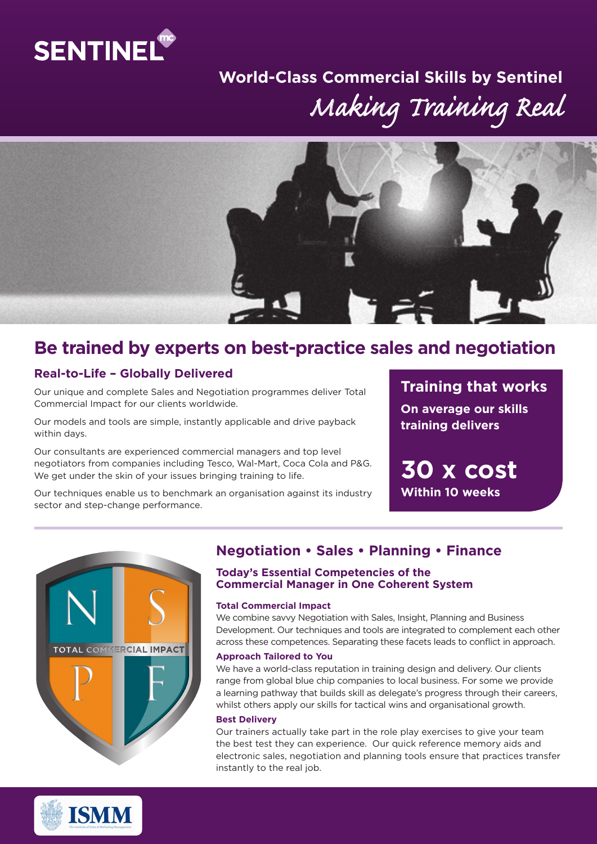

# *Making Training Real* **World-Class Commercial Skills by Sentinel**



# **Be trained by experts on best-practice sales and negotiation**

### **Real-to-Life – Globally Delivered**

Our unique and complete Sales and Negotiation programmes deliver Total Commercial Impact for our clients worldwide.

Our models and tools are simple, instantly applicable and drive payback within days.

Our consultants are experienced commercial managers and top level negotiators from companies including Tesco, Wal-Mart, Coca Cola and P&G. We get under the skin of your issues bringing training to life.

Our techniques enable us to benchmark an organisation against its industry sector and step-change performance.

**Training that works On average our skills training delivers**

**30 x cost Within 10 weeks**



## **Negotiation • Sales • Planning • Finance**

#### **Today's Essential Competencies of the Commercial Manager in One Coherent System**

#### **Total Commercial Impact**

We combine savvy Negotiation with Sales, Insight, Planning and Business Development. Our techniques and tools are integrated to complement each other across these competences. Separating these facets leads to conflict in approach.

#### **Approach Tailored to You**

We have a world-class reputation in training design and delivery. Our clients range from global blue chip companies to local business. For some we provide a learning pathway that builds skill as delegate's progress through their careers, whilst others apply our skills for tactical wins and organisational growth.

#### **Best Delivery**

Our trainers actually take part in the role play exercises to give your team the best test they can experience. Our quick reference memory aids and electronic sales, negotiation and planning tools ensure that practices transfer instantly to the real job.